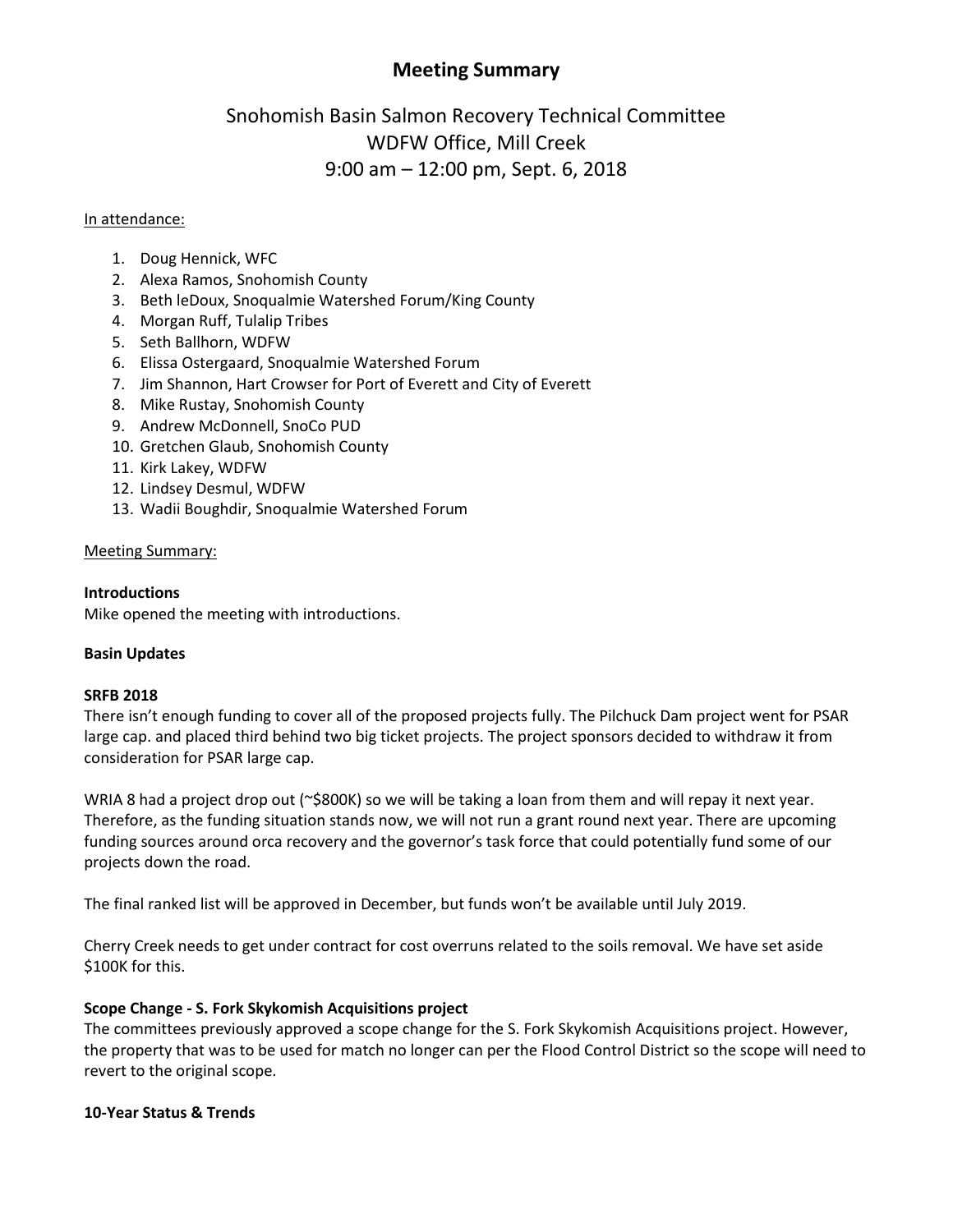## **Meeting Summary**

# Snohomish Basin Salmon Recovery Technical Committee WDFW Office, Mill Creek 9:00 am – 12:00 pm, Sept. 6, 2018

## In attendance:

- 1. Doug Hennick, WFC
- 2. Alexa Ramos, Snohomish County
- 3. Beth leDoux, Snoqualmie Watershed Forum/King County
- 4. Morgan Ruff, Tulalip Tribes
- 5. Seth Ballhorn, WDFW
- 6. Elissa Ostergaard, Snoqualmie Watershed Forum
- 7. Jim Shannon, Hart Crowser for Port of Everett and City of Everett
- 8. Mike Rustay, Snohomish County
- 9. Andrew McDonnell, SnoCo PUD
- 10. Gretchen Glaub, Snohomish County
- 11. Kirk Lakey, WDFW
- 12. Lindsey Desmul, WDFW
- 13. Wadii Boughdir, Snoqualmie Watershed Forum

## Meeting Summary:

## **Introductions**

Mike opened the meeting with introductions.

## **Basin Updates**

## **SRFB 2018**

There isn't enough funding to cover all of the proposed projects fully. The Pilchuck Dam project went for PSAR large cap. and placed third behind two big ticket projects. The project sponsors decided to withdraw it from consideration for PSAR large cap.

WRIA 8 had a project drop out (~\$800K) so we will be taking a loan from them and will repay it next year. Therefore, as the funding situation stands now, we will not run a grant round next year. There are upcoming funding sources around orca recovery and the governor's task force that could potentially fund some of our projects down the road.

The final ranked list will be approved in December, but funds won't be available until July 2019.

Cherry Creek needs to get under contract for cost overruns related to the soils removal. We have set aside \$100K for this.

## **Scope Change - S. Fork Skykomish Acquisitions project**

The committees previously approved a scope change for the S. Fork Skykomish Acquisitions project. However, the property that was to be used for match no longer can per the Flood Control District so the scope will need to revert to the original scope.

## **10-Year Status & Trends**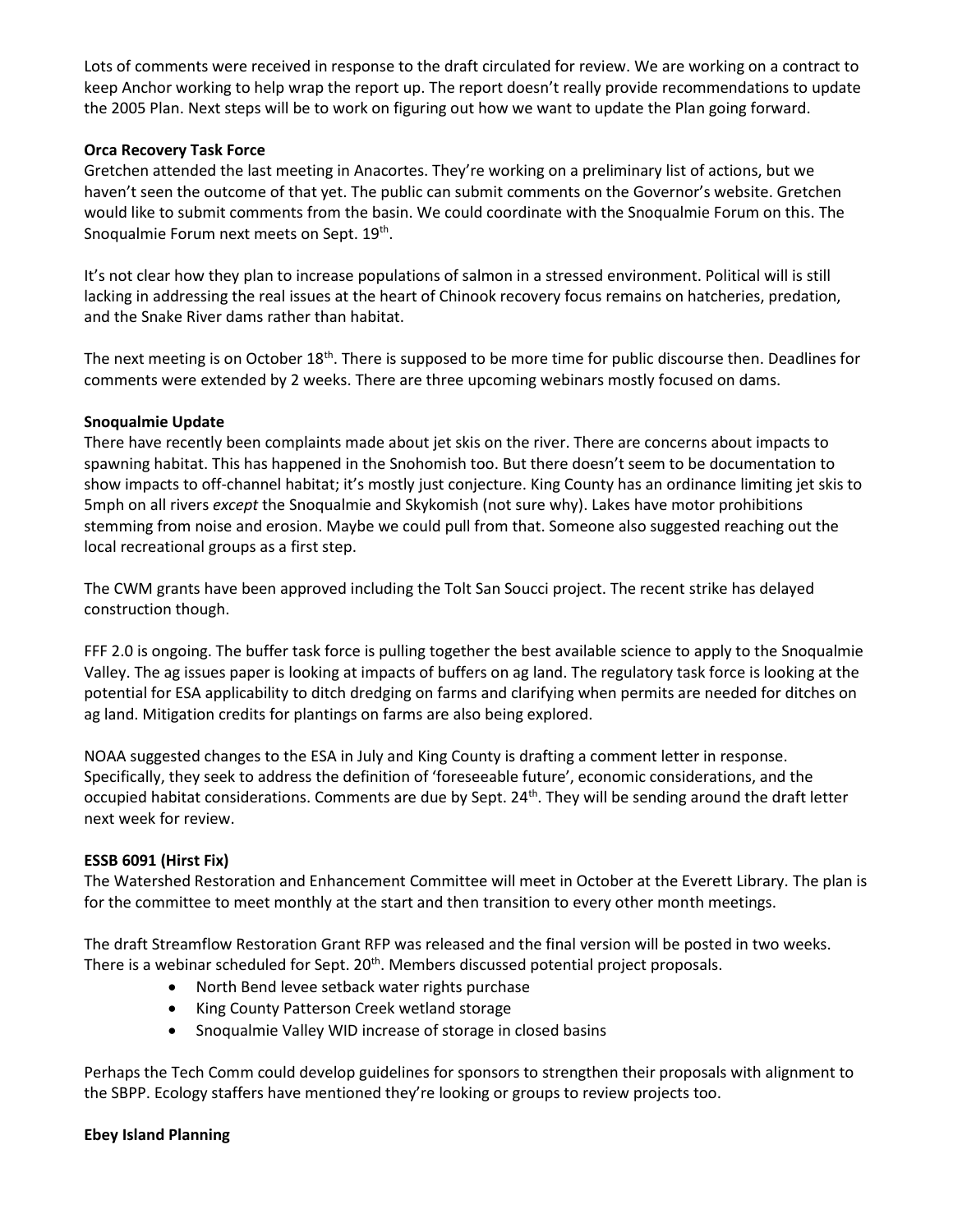Lots of comments were received in response to the draft circulated for review. We are working on a contract to keep Anchor working to help wrap the report up. The report doesn't really provide recommendations to update the 2005 Plan. Next steps will be to work on figuring out how we want to update the Plan going forward.

## **Orca Recovery Task Force**

Gretchen attended the last meeting in Anacortes. They're working on a preliminary list of actions, but we haven't seen the outcome of that yet. The public can submit comments on the Governor's website. Gretchen would like to submit comments from the basin. We could coordinate with the Snoqualmie Forum on this. The Snoqualmie Forum next meets on Sept. 19<sup>th</sup>.

It's not clear how they plan to increase populations of salmon in a stressed environment. Political will is still lacking in addressing the real issues at the heart of Chinook recovery focus remains on hatcheries, predation, and the Snake River dams rather than habitat.

The next meeting is on October 18<sup>th</sup>. There is supposed to be more time for public discourse then. Deadlines for comments were extended by 2 weeks. There are three upcoming webinars mostly focused on dams.

## **Snoqualmie Update**

There have recently been complaints made about jet skis on the river. There are concerns about impacts to spawning habitat. This has happened in the Snohomish too. But there doesn't seem to be documentation to show impacts to off-channel habitat; it's mostly just conjecture. King County has an ordinance limiting jet skis to 5mph on all rivers *except* the Snoqualmie and Skykomish (not sure why). Lakes have motor prohibitions stemming from noise and erosion. Maybe we could pull from that. Someone also suggested reaching out the local recreational groups as a first step.

The CWM grants have been approved including the Tolt San Soucci project. The recent strike has delayed construction though.

FFF 2.0 is ongoing. The buffer task force is pulling together the best available science to apply to the Snoqualmie Valley. The ag issues paper is looking at impacts of buffers on ag land. The regulatory task force is looking at the potential for ESA applicability to ditch dredging on farms and clarifying when permits are needed for ditches on ag land. Mitigation credits for plantings on farms are also being explored.

NOAA suggested changes to the ESA in July and King County is drafting a comment letter in response. Specifically, they seek to address the definition of 'foreseeable future', economic considerations, and the occupied habitat considerations. Comments are due by Sept. 24<sup>th</sup>. They will be sending around the draft letter next week for review.

## **ESSB 6091 (Hirst Fix)**

The Watershed Restoration and Enhancement Committee will meet in October at the Everett Library. The plan is for the committee to meet monthly at the start and then transition to every other month meetings.

The draft Streamflow Restoration Grant RFP was released and the final version will be posted in two weeks. There is a webinar scheduled for Sept. 20<sup>th</sup>. Members discussed potential project proposals.

- North Bend levee setback water rights purchase
- King County Patterson Creek wetland storage
- Snoqualmie Valley WID increase of storage in closed basins

Perhaps the Tech Comm could develop guidelines for sponsors to strengthen their proposals with alignment to the SBPP. Ecology staffers have mentioned they're looking or groups to review projects too.

## **Ebey Island Planning**